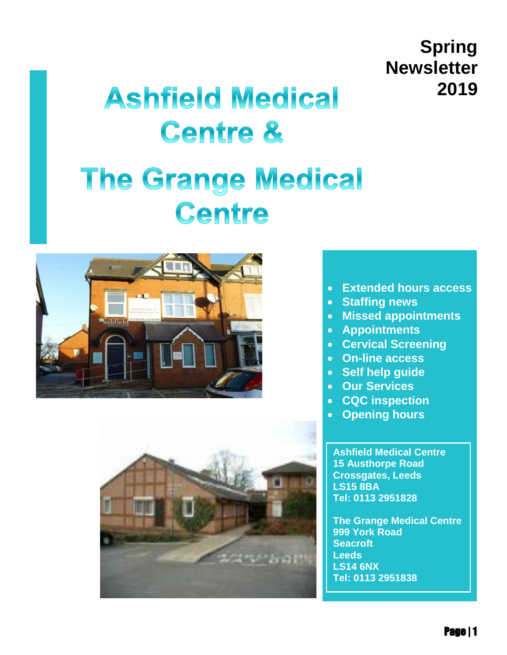# **Spring Newsletter 2019**

# **Ashfield Medical Centre &**

# **The Grange Medical** Centre





- **Extended hours access**
- **Staffing news**
- **Missed appointments**
- **Appointments**
- **Cervical Screening**
- **On-line access**
- **Self help guide**
- **Our Services**
- **CQC inspection**
- **Opening hours**

**[Ashfield Medical Centre](http://maps.google.com/?saddr=Current%20Location&daddr=%20Ashfield%20Medical%20Centre15%20Austhorpe%20RoadCrossgates,%20LeedsLS15%208BA)  [15 Austhorpe Road](http://maps.google.com/?saddr=Current%20Location&daddr=%20Ashfield%20Medical%20Centre15%20Austhorpe%20RoadCrossgates,%20LeedsLS15%208BA)  [Crossgates, Leeds](http://maps.google.com/?saddr=Current%20Location&daddr=%20Ashfield%20Medical%20Centre15%20Austhorpe%20RoadCrossgates,%20LeedsLS15%208BA)  [LS15 8BA](http://maps.google.com/?saddr=Current%20Location&daddr=%20Ashfield%20Medical%20Centre15%20Austhorpe%20RoadCrossgates,%20LeedsLS15%208BA) Tel: 0113 2951828**

**[The Grange Medical Centre](http://maps.google.com/?saddr=Current%20Location&daddr=%20The%20Grange%20Medical%20Centre999%20York%20RoadSeacroftLeedsLS14%206NX)  [999 York Road](http://maps.google.com/?saddr=Current%20Location&daddr=%20The%20Grange%20Medical%20Centre999%20York%20RoadSeacroftLeedsLS14%206NX)  [Seacroft](http://maps.google.com/?saddr=Current%20Location&daddr=%20The%20Grange%20Medical%20Centre999%20York%20RoadSeacroftLeedsLS14%206NX)  [Leeds](http://maps.google.com/?saddr=Current%20Location&daddr=%20The%20Grange%20Medical%20Centre999%20York%20RoadSeacroftLeedsLS14%206NX)  [LS14 6NX](http://maps.google.com/?saddr=Current%20Location&daddr=%20The%20Grange%20Medical%20Centre999%20York%20RoadSeacroftLeedsLS14%206NX) Tel: 0113 2951838**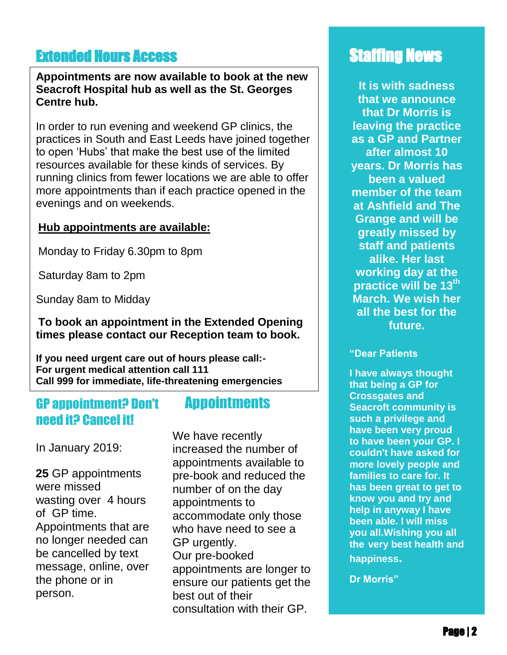## **Extended Hours Access Staffing News**

### . **Seacroft Hospital hub as well as the St. Georges Appointments are now available to book at the new Centre hub.**

In order to run evening and weekend GP clinics, the practices in South and East Leeds have joined together to open 'Hubs' that make the best use of the limited resources available for these kinds of services. By running clinics from fewer locations we are able to offer more appointments than if each practice opened in the evenings and on weekends.

### **Hub appointments are available:**

Monday to Friday 6.30pm to 8pm

Saturday 8am to 2pm

Sunday 8am to Midday

### **To book an appointment in the Extended Opening times please contact our Reception team to book.**

**If you need urgent care out of hours please call:- For urgent medical attention call 111 Call 999 for immediate, life-threatening emergencies**

### GP appointment? Don't need it? Cancel it!

### **Appointments**

l In January 2019:

**25** GP appointments were missed wasting over 4 hours of GP time. Appointments that are no longer needed can be cancelled by text message, online, over the phone or in person.

We have recently increased the number of appointments available to pre-book and reduced the number of on the day appointments to accommodate only those who have need to see a GP urgently. Our pre-booked appointments are longer to ensure our patients get the best out of their consultation with their GP.

**It is with sadness that we announce that Dr Morris is leaving the practice as a GP and Partner after almost 10 years. Dr Morris has been a valued member of the team at Ashfield and The Grange and will be greatly missed by staff and patients alike. Her last working day at the practice will be 13th March. We wish her all the best for the future.**

### **"Dear Patients**

**I have always thought that being a GP for Crossgates and Seacroft community is such a privilege and have been very proud to have been your GP. I couldn't have asked for more lovely people and families to care for. It has been great to get to know you and try and help in anyway I have been able. I will miss you all.Wishing you all the very best health and happiness.**

**Dr Morris"**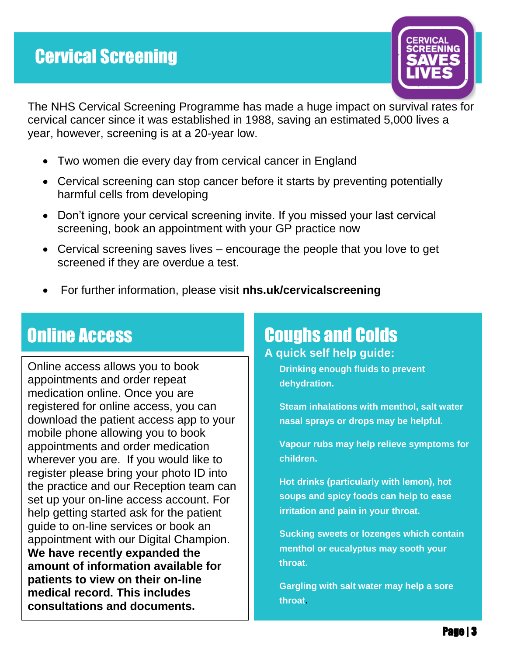

 cervical cancer since it was established in 1988, saving an estimated 5,000 lives a The NHS Cervical Screening Programme has made a huge impact on survival rates for year, however, screening is at a 20-year low.

- Two women die every day from cervical cancer in England
- Cervical screening can stop cancer before it starts by preventing potentially harmful cells from developing
- Don't ignore your cervical screening invite. If you missed your last cervical screening, book an appointment with your GP practice now
- Cervical screening saves lives encourage the people that you love to get screened if they are overdue a test.
- For further information, please visit **nhs.uk/cervicalscreening**

### nur nuvujo<br>India k Online Access

Online access allows you to book appointments and order repeat medication online. Once you are registered for online access, you can download the patient access app to your mobile phone allowing you to book appointments and order medication wherever you are. If you would like to register please bring your photo ID into the practice and our Reception team can set up your on-line access account. For help getting started ask for the patient guide to on-line services or book an appointment with our Digital Champion. **We have recently expanded the amount of information available for patients to view on their on-line medical record. This includes consultations and documents.**

# Coughs and Colds

**A quick self help guide: Drinking enough fluids to prevent** 

**dehydration.**

**Steam inhalations with menthol, salt water nasal sprays or drops may be helpful.**

**Vapour rubs may help relieve symptoms for children.**

**Hot drinks (particularly with lemon), hot soups and spicy foods can help to ease irritation and pain in your throat.**

**Sucking sweets or lozenges which contain menthol or eucalyptus may sooth your throat.**

**Gargling with salt water may help a sore throat.**